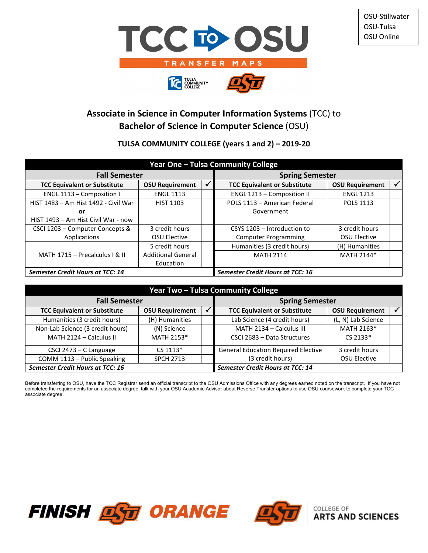





## **Associate in Science in Computer Information Systems** (TCC) to **Bachelor of Science in Computer Science** (OSU)

## **TULSA COMMUNITY COLLEGE (years 1 and 2) – 2019-20**

| Year One – Tulsa Community College      |                           |                                         |                                     |                        |              |  |
|-----------------------------------------|---------------------------|-----------------------------------------|-------------------------------------|------------------------|--------------|--|
| <b>Fall Semester</b>                    |                           |                                         | <b>Spring Semester</b>              |                        |              |  |
| <b>TCC Equivalent or Substitute</b>     | <b>OSU Requirement</b>    | $\checkmark$                            | <b>TCC Equivalent or Substitute</b> | <b>OSU Requirement</b> | $\checkmark$ |  |
| ENGL 1113 - Composition I               | <b>ENGL 1113</b>          |                                         | ENGL 1213 - Composition II          | <b>ENGL 1213</b>       |              |  |
| HIST 1483 - Am Hist 1492 - Civil War    | <b>HIST 1103</b>          |                                         | POLS 1113 - American Federal        | <b>POLS 1113</b>       |              |  |
| or                                      |                           |                                         | Government                          |                        |              |  |
| HIST 1493 - Am Hist Civil War - now     |                           |                                         |                                     |                        |              |  |
| CSCI 1203 - Computer Concepts &         | 3 credit hours            |                                         | CSYS 1203 - Introduction to         | 3 credit hours         |              |  |
| Applications                            | OSU Elective              |                                         | <b>Computer Programming</b>         | OSU Elective           |              |  |
|                                         | 5 credit hours            |                                         | Humanities (3 credit hours)         | (H) Humanities         |              |  |
| MATH 1715 - Precalculus I & II          | <b>Additional General</b> |                                         | <b>MATH 2114</b>                    | MATH 2144*             |              |  |
|                                         | Education                 |                                         |                                     |                        |              |  |
| <b>Semester Credit Hours at TCC: 14</b> |                           | <b>Semester Credit Hours at TCC: 16</b> |                                     |                        |              |  |

| <b>Year Two - Tulsa Community College</b> |                        |              |                                            |                        |  |  |
|-------------------------------------------|------------------------|--------------|--------------------------------------------|------------------------|--|--|
| <b>Fall Semester</b>                      |                        |              | <b>Spring Semester</b>                     |                        |  |  |
| <b>TCC Equivalent or Substitute</b>       | <b>OSU Requirement</b> | $\checkmark$ | <b>TCC Equivalent or Substitute</b>        | <b>OSU Requirement</b> |  |  |
| Humanities (3 credit hours)               | (H) Humanities         |              | Lab Science (4 credit hours)               | (L, N) Lab Science     |  |  |
| Non-Lab Science (3 credit hours)          | (N) Science            |              | MATH 2134 - Calculus III                   | MATH 2163*             |  |  |
| MATH 2124 - Calculus II                   | MATH 2153*             |              | CSCI 2683 - Data Structures                | $CS$ 2133*             |  |  |
| CSCI 2473 - C Language                    | $CS$ 1113*             |              | <b>General Education Required Elective</b> | 3 credit hours         |  |  |
| COMM 1113 - Public Speaking               | <b>SPCH 2713</b>       |              | (3 credit hours)                           | OSU Elective           |  |  |
| <b>Semester Credit Hours at TCC: 16</b>   |                        |              | <b>Semester Credit Hours at TCC: 14</b>    |                        |  |  |

Before transferring to OSU, have the TCC Registrar send an official transcript to the OSU Admissions Office with any degrees earned noted on the transcript. If you have not completed the requirements for an associate degree, talk with your OSU Academic Advisor about Reverse Transfer options to use OSU coursework to complete your TCC associate degree.